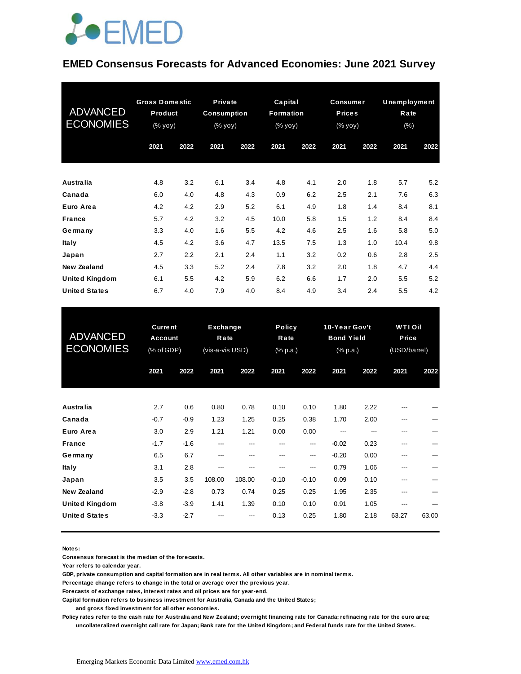## **JOEMED**

#### **EMED Consensus Forecasts for Advanced Economies: June 2021 Survey**

| <b>ADVANCED</b><br><b>ECONOMIES</b> | <b>Gross Domestic</b><br>Product<br>$(% \mathsf{Y}^{\prime }\mathsf{Y}^{\prime }\mathsf{Y})$ (% $\mathsf{Y}^{\prime }\mathsf{Y})$ |      | <b>Private</b><br><b>Consumption</b><br>$(% \mathbf{y}\mathbf{y})$ (% $\mathbf{y}\mathbf{0}\mathbf{y}$ ) |      | Capital<br><b>Formation</b><br>$(% \mathbf{y}\right)$ (% $\overline{\mathbf{y}}$ ) | <b>Consumer</b><br><b>Prices</b><br>$(% \mathbf{y}\right)$ (% $\overline{\mathbf{y}}$ $\overline{\mathbf{y}}$ $\overline{\mathbf{y}}$ ) |      |      | Unemployment<br>Rate<br>(% ) |      |
|-------------------------------------|-----------------------------------------------------------------------------------------------------------------------------------|------|----------------------------------------------------------------------------------------------------------|------|------------------------------------------------------------------------------------|-----------------------------------------------------------------------------------------------------------------------------------------|------|------|------------------------------|------|
|                                     | 2021                                                                                                                              | 2022 | 2021                                                                                                     | 2022 | 2021                                                                               | 2022                                                                                                                                    | 2021 | 2022 | 2021                         | 2022 |
|                                     |                                                                                                                                   |      |                                                                                                          |      |                                                                                    |                                                                                                                                         |      |      |                              |      |
| Australia                           | 4.8                                                                                                                               | 3.2  | 6.1                                                                                                      | 3.4  | 4.8                                                                                | 4.1                                                                                                                                     | 2.0  | 1.8  | 5.7                          | 5.2  |
| Canada                              | 6.0                                                                                                                               | 4.0  | 4.8                                                                                                      | 4.3  | 0.9                                                                                | 6.2                                                                                                                                     | 2.5  | 2.1  | 7.6                          | 6.3  |
| Euro Area                           | 4.2                                                                                                                               | 4.2  | 2.9                                                                                                      | 5.2  | 6.1                                                                                | 4.9                                                                                                                                     | 1.8  | 1.4  | 8.4                          | 8.1  |
| <b>France</b>                       | 5.7                                                                                                                               | 4.2  | 3.2                                                                                                      | 4.5  | 10.0                                                                               | 5.8                                                                                                                                     | 1.5  | 1.2  | 8.4                          | 8.4  |
| Germany                             | 3.3                                                                                                                               | 4.0  | 1.6                                                                                                      | 5.5  | 4.2                                                                                | 4.6                                                                                                                                     | 2.5  | 1.6  | 5.8                          | 5.0  |
| <b>Italy</b>                        | 4.5                                                                                                                               | 4.2  | 3.6                                                                                                      | 4.7  | 13.5                                                                               | 7.5                                                                                                                                     | 1.3  | 1.0  | 10.4                         | 9.8  |
| Japan                               | 2.7                                                                                                                               | 2.2  | 2.1                                                                                                      | 2.4  | 1.1                                                                                | 3.2                                                                                                                                     | 0.2  | 0.6  | 2.8                          | 2.5  |
| New Zealand                         | 4.5                                                                                                                               | 3.3  | 5.2                                                                                                      | 2.4  | 7.8                                                                                | 3.2                                                                                                                                     | 2.0  | 1.8  | 4.7                          | 4.4  |
| <b>United Kingdom</b>               | 6.1                                                                                                                               | 5.5  | 4.2                                                                                                      | 5.9  | 6.2                                                                                | 6.6                                                                                                                                     | 1.7  | 2.0  | 5.5                          | 5.2  |
| <b>United States</b>                | 6.7                                                                                                                               | 4.0  | 7.9                                                                                                      | 4.0  | 8.4                                                                                | 4.9                                                                                                                                     | 3.4  | 2.4  | 5.5                          | 4.2  |

| <b>United States</b>                          | 6.7                                     | 4.0              | 7.9                                 | 4.0            | 8.4                               | 4.9             | 3.4                                            | 2.4          | 5.5                                     | 4.2   |
|-----------------------------------------------|-----------------------------------------|------------------|-------------------------------------|----------------|-----------------------------------|-----------------|------------------------------------------------|--------------|-----------------------------------------|-------|
| <b>ADVANCED</b><br><b>ECONOMIES</b>           | <b>Current</b><br>Account<br>(% of GDP) |                  | Exchange<br>Rate<br>(vis-a-vis USD) |                | <b>Policy</b><br>Rate<br>(% p.a.) |                 | 10-Year Gov't<br><b>Bond Yield</b><br>(% p.a.) |              | <b>WTI Oil</b><br>Price<br>(USD/barrel) |       |
|                                               | 2021                                    | 2022             | 2021                                | 2022           | 2021                              | 2022            | 2021                                           | 2022         | 2021                                    | 2022  |
| Australia                                     | 2.7                                     | 0.6              | 0.80                                | 0.78           | 0.10                              | 0.10            | 1.80                                           | 2.22         |                                         |       |
| Canada<br>Euro Area                           | $-0.7$<br>3.0                           | $-0.9$<br>2.9    | 1.23<br>1.21                        | 1.25<br>1.21   | 0.25<br>0.00                      | 0.38<br>0.00    | 1.70<br>---                                    | 2.00         | ---<br>---                              | ---   |
| <b>France</b>                                 | $-1.7$                                  | $-1.6$           | ---                                 | ---            | ---                               | ---             | $-0.02$                                        | 0.23         | ---                                     |       |
| Germany<br><b>Italy</b>                       | 6.5<br>3.1                              | 6.7<br>2.8       | ---<br>---                          | ---            | ---<br>---                        | ---<br>---      | $-0.20$<br>0.79                                | 0.00<br>1.06 | ---                                     |       |
| Japan<br><b>New Zealand</b>                   | 3.5<br>$-2.9$                           | 3.5<br>$-2.8$    | 108.00<br>0.73                      | 108.00<br>0.74 | $-0.10$<br>0.25                   | $-0.10$<br>0.25 | 0.09<br>1.95                                   | 0.10<br>2.35 | ---                                     |       |
| <b>United Kingdom</b><br><b>United States</b> | $-3.8$<br>$-3.3$                        | $-3.9$<br>$-2.7$ | 1.41                                | 1.39           | 0.10<br>0.13                      | 0.10<br>0.25    | 0.91<br>1.80                                   | 1.05<br>2.18 | 63.27                                   | 63.00 |
|                                               |                                         |                  |                                     |                |                                   |                 |                                                |              |                                         |       |

**Notes:** 

**Consensus forecast is the median of the forecasts.**

**Year refers to calendar year.**

**GDP, private consumption and capital formation are in real terms. All other variables are in nominal terms.**

**Percentage change refers to change in the total or average over the previous year.**

**Forecasts of exchange rates, interest rates and oil prices are for year-end.**

**Capital formation refers to business investment for Australia, Canada and the United States;**

 **and gross fixed investment for all other economies.**

**Policy rates refer to the cash rate for Australia and New Zealand; overnight financing rate for Canada; refinacing rate for the euro area; uncollateralized overnight call rate for Japan; Bank rate for the United Kingdom; and Federal funds rate for the United States.**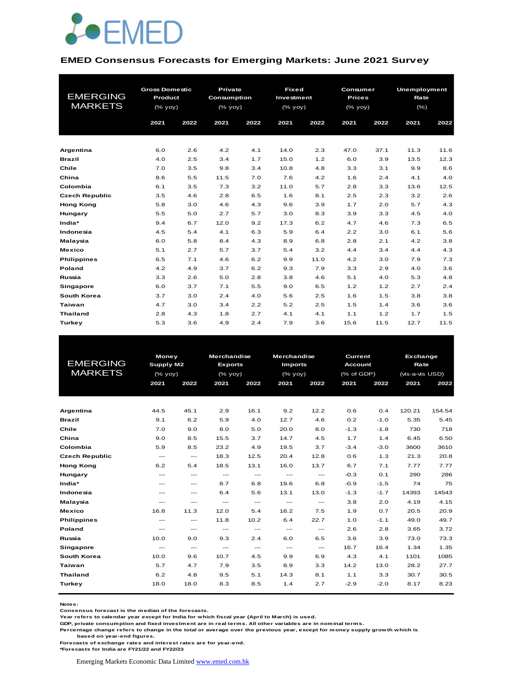

#### **EMED Consensus Forecasts for Emerging Markets: June 2021 Survey**

| <b>EMERGING</b>       | <b>Gross Domestic</b><br>Product |      | Private<br>Consumption |      | <b>Fixed</b><br>Investment |      | <b>Consumer</b><br><b>Prices</b> |      | Unemployment<br>Rate |      |  |
|-----------------------|----------------------------------|------|------------------------|------|----------------------------|------|----------------------------------|------|----------------------|------|--|
| <b>MARKETS</b>        | $(\%$ yoy)                       |      | $(%$ yoy)              |      | $(\%$ yoy)                 |      | (% yoy)                          |      | $(\% )$              |      |  |
|                       | 2021                             | 2022 | 2021                   | 2022 | 2021                       | 2022 | 2021                             | 2022 | 2021                 | 2022 |  |
|                       |                                  |      |                        |      |                            |      |                                  |      |                      |      |  |
| Argentina             | 6.0                              | 2.6  | 4.2                    | 4.1  | 14.0                       | 2.3  | 47.0                             | 37.1 | 11.3                 | 11.6 |  |
| Brazil                | 4.0                              | 2.5  | 3.4                    | 1.7  | 15.0                       | 1.2  | 6.0                              | 3.9  | 13.5                 | 12.3 |  |
| Chile                 | 7.0                              | 3.5  | 9.8                    | 3.4  | 10.8                       | 4.8  | 3.3                              | 3.1  | 9.9                  | 8.6  |  |
| China                 | 8.6                              | 5.5  | 11.5                   | 7.0  | 7.6                        | 4.2  | 1.6                              | 2.4  | 4.1                  | 4.0  |  |
| Colombia              | 6.1                              | 3.5  | 7.3                    | 3.2  | 11.0                       | 5.7  | 2.8                              | 3.3  | 13.6                 | 12.5 |  |
| <b>Czech Republic</b> | 3.5                              | 4.6  | 2.8                    | 6.5  | 1.6                        | 8.1  | 2.5                              | 2.3  | 3.2                  | 2.6  |  |
| <b>Hong Kong</b>      | 5.8                              | 3.0  | 4.6                    | 4.3  | 9.6                        | 3.9  | 1.7                              | 2.0  | 5.7                  | 4.3  |  |
| Hungary               | 5.5                              | 5.0  | 2.7                    | 5.7  | 3.0                        | 8.3  | 3.9                              | 3.3  | 4.5                  | 4.0  |  |
| India*                | 9.4                              | 6.7  | 12.0                   | 9.2  | 17.3                       | 6.2  | 4.7                              | 4.6  | 7.3                  | 6.5  |  |
| Indonesia             | 4.5                              | 5.4  | 4.1                    | 6.3  | 5.9                        | 6.4  | 2.2                              | 3.0  | 6.1                  | 5.6  |  |
| Malaysia              | 6.0                              | 5.8  | 8.4                    | 4.3  | 8.9                        | 6.8  | 2.8                              | 2.1  | 4.2                  | 3.8  |  |
| <b>Mexico</b>         | 5.1                              | 2.7  | 5.7                    | 3.7  | 5.4                        | 3.2  | 4.4                              | 3.4  | 4.4                  | 4.3  |  |
| <b>Philippines</b>    | 6.5                              | 7.1  | 4.6                    | 6.2  | 9.9                        | 11.0 | 4.2                              | 3.0  | 7.9                  | 7.3  |  |
| <b>Poland</b>         | 4.2                              | 4.9  | 3.7                    | 6.2  | 9.3                        | 7.9  | 3.3                              | 2.9  | 4.0                  | 3.6  |  |
| Russia                | 3.3                              | 2.6  | 5.0                    | 2.8  | 3.8                        | 4.6  | 5.1                              | 4.0  | 5.3                  | 4.8  |  |
| Singapore             | 6.0                              | 3.7  | 7.1                    | 5.5  | 9.0                        | 6.5  | 1.2                              | 1.2  | 2.7                  | 2.4  |  |
| South Korea           | 3.7                              | 3.0  | 2.4                    | 4.0  | 5.6                        | 2.5  | 1.6                              | 1.5  | 3.8                  | 3.8  |  |
| <b>Taiwan</b>         | 4.7                              | 3.0  | 3.4                    | 2.2  | 5.2                        | 2.5  | 1.5                              | 1.4  | 3.6                  | 3.6  |  |
| <b>Thailand</b>       | 2.8                              | 4.3  | 1.8                    | 2.7  | 4.1                        | 4.1  | 1.1                              | 1.2  | 1.7                  | 1.5  |  |
| Turkey                | 5.3                              | 3.6  | 4.9                    | 2.4  | 7.9                        | 3.6  | 15.6                             | 11.5 | 12.7                 | 11.5 |  |

|                       | <b>Money</b>              |               | <b>Merchandise</b>       |                                          | <b>Merchandise</b>       |                          | <b>Current</b> |        |                                                                                                                                                           |        |
|-----------------------|---------------------------|---------------|--------------------------|------------------------------------------|--------------------------|--------------------------|----------------|--------|-----------------------------------------------------------------------------------------------------------------------------------------------------------|--------|
| <b>EMERGING</b>       | <b>Supply M2</b>          |               | <b>Exports</b>           |                                          | <b>Imports</b>           |                          | <b>Account</b> |        | <b>Exchange</b><br>Rate<br>(vis-a-vis USD)<br>2021<br>120.21<br>5.35<br>730<br>6.45<br>3600<br>21.3<br>7.77<br>290<br>74<br>14393<br>4.19<br>20.5<br>49.0 |        |
| <b>MARKETS</b>        | $(%$ (% yoy)              |               | $(%$ (% yoy)             |                                          | $(%$ (% yoy)             |                          | (% of GDP)     |        |                                                                                                                                                           |        |
|                       | 2021                      | 2022          | 2021                     | 2022                                     | 2021                     | 2022                     | 2021           | 2022   |                                                                                                                                                           | 2022   |
|                       |                           |               |                          |                                          |                          |                          |                |        |                                                                                                                                                           |        |
|                       |                           |               |                          |                                          |                          |                          |                |        |                                                                                                                                                           |        |
| Argentina             | 44.5                      | 45.1          | 2.9                      | 16.1                                     | 9.2                      | 12.2                     | 0.6            | 0.4    |                                                                                                                                                           | 154.54 |
| Brazil                | 9.1                       | 6.2           | 5.9                      | 4.0                                      | 12.7                     | 4.6                      | 0.2            | $-1.0$ |                                                                                                                                                           | 5.45   |
| Chile                 | 7.0                       | 9.0           | 8.0                      | 5.0                                      | 20.0                     | 8.0                      | $-1.3$         | $-1.8$ |                                                                                                                                                           | 718    |
| China                 | 9.0                       | 8.5           | 15.5                     | 3.7                                      | 14.7                     | 4.5                      | 1.7            | 1.4    |                                                                                                                                                           | 6.50   |
| Colombia              | 5.9                       | 8.5           | 23.2                     | 4.9                                      | 19.5                     | 3.7                      | $-3.4$         | $-3.0$ |                                                                                                                                                           | 3610   |
| <b>Czech Republic</b> | $\cdots$                  | $\sim$ $\sim$ | 18.3                     | 12.5                                     | 20.4                     | 12.8                     | 0.6            | 1.3    |                                                                                                                                                           | 20.8   |
| <b>Hong Kong</b>      | 6.2                       | 5.4           | 18.5                     | 13.1                                     | 16.0                     | 13.7                     | 6.7            | 7.1    |                                                                                                                                                           | 7.77   |
| Hungary               | $\frac{1}{2}$             | ---           | $\hspace{0.05cm} \ldots$ | $\cdots$                                 | $\hspace{0.05cm} \ldots$ | $\hspace{0.05cm} \ldots$ | $-0.3$         | 0.1    |                                                                                                                                                           | 286    |
| India*                | $---$                     | $\cdots$      | 8.7                      | 6.8                                      | 19.6                     | 6.8                      | $-0.9$         | $-1.5$ |                                                                                                                                                           | 75     |
| Indonesia             | $---$                     | $---$         | 6.4                      | 5.6                                      | 13.1                     | 13.0                     | $-1.3$         | $-1.7$ |                                                                                                                                                           | 14543  |
| Malaysia              | $---$                     | ---           | $\cdots$                 | $\cdots$                                 | $\frac{1}{2}$            | $---$                    | 3.8            | 2.0    |                                                                                                                                                           | 4.15   |
| <b>Mexico</b>         | 16.8                      | 11.3          | 12.0                     | 5.4                                      | 16.2                     | 7.5                      | 1.9            | 0.7    |                                                                                                                                                           | 20.9   |
| <b>Philippines</b>    | $\qquad \qquad -\qquad -$ | $\cdots$      | 11.8                     | 10.2                                     | 6.4                      | 22.7                     | 1.0            | $-1.1$ |                                                                                                                                                           | 49.7   |
| <b>Poland</b>         | $---$                     | ---           | $\qquad \qquad -$        | $\qquad \qquad -$                        | $\qquad \qquad -$        | ---                      | 2.6            | 2.8    | 3.65                                                                                                                                                      | 3.72   |
| Russia                | 10.0                      | 9.0           | 9.3                      | 2.4                                      | 6.0                      | 6.5                      | 3.6            | 3.9    | 73.0                                                                                                                                                      | 73.3   |
| Singapore             | $\hspace{0.05cm} \ldots$  | $\sim$ $\sim$ | $\hspace{0.05cm} \ldots$ | $\hspace{0.05cm} \ldots \hspace{0.05cm}$ | $  -$                    | $\hspace{0.05cm} \ldots$ | 16.7           | 16.4   | 1.34                                                                                                                                                      | 1.35   |
| <b>South Korea</b>    | 10.0                      | 9.6           | 10.7                     | 4.5                                      | 9.9                      | 6.9                      | 4.3            | 4.1    | 1101                                                                                                                                                      | 1085   |
| <b>Taiwan</b>         | 5.7                       | 4.7           | 7.9                      | 3.5                                      | 8.9                      | 3.3                      | 14.2           | 13.0   | 28.2                                                                                                                                                      | 27.7   |
| <b>Thailand</b>       | 6.2                       | 4.8           | 9.5                      | 5.1                                      | 14.3                     | 8.1                      | 1.1            | 3.3    | 30.7                                                                                                                                                      | 30.5   |
| Turkey                | 18.0                      | 18.0          | 8.3                      | 8.5                                      | 1.4                      | 2.7                      | $-2.9$         | $-2.0$ | 8.17                                                                                                                                                      | 8.23   |
|                       |                           |               |                          |                                          |                          |                          |                |        |                                                                                                                                                           |        |

**Notes:** 

**Consensus forecast is the median of the forecasts.**

**Year refers to calendar year except for India for which fiscal year (April to March) is used.**

**GDP, private consumption and fixed investment are in real terms. All other variables are in nominal terms.**

**Percentage change refers to change in the total or average over the previous year, except for money supply growth which is** 

 **based on year-end figures.**

**Forecasts of exchange rates and interest rates are for year-end.**

**\*Forecasts for India are FY21/22 and FY22/23**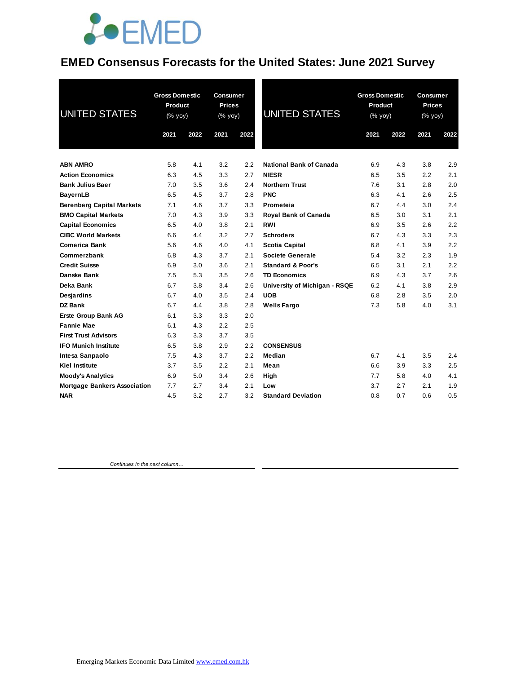

#### **EMED Consensus Forecasts for the United States: June 2021 Survey**

| UNITED STATES                       | <b>Gross Domestic</b><br>Product<br>$(% \mathsf{Y}^{\prime }\mathsf{Y}^{\prime })$ (% $\mathsf{Y}^{\prime }\mathsf{Y}^{\prime }\mathsf{Y}^{\prime })$ |      | Consumer<br><b>Prices</b><br>(% yoy) |      | <b>UNITED STATES</b>          | <b>Gross Domestic</b><br>Product<br>(% yoy) |      | <b>Consumer</b><br><b>Prices</b><br>(% yoy) |      |
|-------------------------------------|-------------------------------------------------------------------------------------------------------------------------------------------------------|------|--------------------------------------|------|-------------------------------|---------------------------------------------|------|---------------------------------------------|------|
|                                     | 2021                                                                                                                                                  | 2022 | 2021                                 | 2022 |                               | 2021                                        | 2022 | 2021                                        | 2022 |
| <b>ABN AMRO</b>                     | 5.8                                                                                                                                                   | 4.1  | 3.2                                  | 2.2  | National Bank of Canada       | 6.9                                         | 4.3  | 3.8                                         | 2.9  |
| <b>Action Economics</b>             | 6.3                                                                                                                                                   | 4.5  | 3.3                                  | 2.7  | <b>NIESR</b>                  | 6.5                                         | 3.5  | 2.2                                         | 2.1  |
| <b>Bank Julius Baer</b>             | 7.0                                                                                                                                                   | 3.5  | 3.6                                  | 2.4  | <b>Northern Trust</b>         | 7.6                                         | 3.1  | 2.8                                         | 2.0  |
| <b>BayernLB</b>                     | 6.5                                                                                                                                                   | 4.5  | 3.7                                  | 2.8  | <b>PNC</b>                    | 6.3                                         | 4.1  | 2.6                                         | 2.5  |
| <b>Berenberg Capital Markets</b>    | 7.1                                                                                                                                                   | 4.6  | 3.7                                  | 3.3  | Prometeia                     | 6.7                                         | 4.4  | 3.0                                         | 2.4  |
| <b>BMO Capital Markets</b>          | 7.0                                                                                                                                                   | 4.3  | 3.9                                  | 3.3  | <b>Royal Bank of Canada</b>   | 6.5                                         | 3.0  | 3.1                                         | 2.1  |
| <b>Capital Economics</b>            | 6.5                                                                                                                                                   | 4.0  | 3.8                                  | 2.1  | <b>RWI</b>                    | 6.9                                         | 3.5  | 2.6                                         | 2.2  |
| <b>CIBC World Markets</b>           | 6.6                                                                                                                                                   | 4.4  | 3.2                                  | 2.7  | <b>Schroders</b>              | 6.7                                         | 4.3  | 3.3                                         | 2.3  |
| <b>Comerica Bank</b>                | 5.6                                                                                                                                                   | 4.6  | 4.0                                  | 4.1  | <b>Scotia Capital</b>         | 6.8                                         | 4.1  | 3.9                                         | 2.2  |
| Commerzbank                         | 6.8                                                                                                                                                   | 4.3  | 3.7                                  | 2.1  | <b>Societe Generale</b>       | 5.4                                         | 3.2  | 2.3                                         | 1.9  |
| <b>Credit Suisse</b>                | 6.9                                                                                                                                                   | 3.0  | 3.6                                  | 2.1  | <b>Standard &amp; Poor's</b>  | 6.5                                         | 3.1  | 2.1                                         | 2.2  |
| Danske Bank                         | 7.5                                                                                                                                                   | 5.3  | 3.5                                  | 2.6  | <b>TD Economics</b>           | 6.9                                         | 4.3  | 3.7                                         | 2.6  |
| Deka Bank                           | 6.7                                                                                                                                                   | 3.8  | 3.4                                  | 2.6  | University of Michigan - RSQE | 6.2                                         | 4.1  | 3.8                                         | 2.9  |
| Desjardins                          | 6.7                                                                                                                                                   | 4.0  | 3.5                                  | 2.4  | <b>UOB</b>                    | 6.8                                         | 2.8  | 3.5                                         | 2.0  |
| DZ Bank                             | 6.7                                                                                                                                                   | 4.4  | 3.8                                  | 2.8  | <b>Wells Fargo</b>            | 7.3                                         | 5.8  | 4.0                                         | 3.1  |
| <b>Erste Group Bank AG</b>          | 6.1                                                                                                                                                   | 3.3  | 3.3                                  | 2.0  |                               |                                             |      |                                             |      |
| <b>Fannie Mae</b>                   | 6.1                                                                                                                                                   | 4.3  | 2.2                                  | 2.5  |                               |                                             |      |                                             |      |
| <b>First Trust Advisors</b>         | 6.3                                                                                                                                                   | 3.3  | 3.7                                  | 3.5  |                               |                                             |      |                                             |      |
| <b>IFO Munich Institute</b>         | 6.5                                                                                                                                                   | 3.8  | 2.9                                  | 2.2  | <b>CONSENSUS</b>              |                                             |      |                                             |      |
| Intesa Sanpaolo                     | 7.5                                                                                                                                                   | 4.3  | 3.7                                  | 2.2  | Median                        | 6.7                                         | 4.1  | 3.5                                         | 2.4  |
| <b>Kiel Institute</b>               | 3.7                                                                                                                                                   | 3.5  | 2.2                                  | 2.1  | Mean                          | 6.6                                         | 3.9  | 3.3                                         | 2.5  |
| <b>Moody's Analytics</b>            | 6.9                                                                                                                                                   | 5.0  | 3.4                                  | 2.6  | High                          | 7.7                                         | 5.8  | 4.0                                         | 4.1  |
| <b>Mortgage Bankers Association</b> | 7.7                                                                                                                                                   | 2.7  | 3.4                                  | 2.1  | Low                           | 3.7                                         | 2.7  | 2.1                                         | 1.9  |
| <b>NAR</b>                          | 4.5                                                                                                                                                   | 3.2  | 2.7                                  | 3.2  | <b>Standard Deviation</b>     | 0.8                                         | 0.7  | 0.6                                         | 0.5  |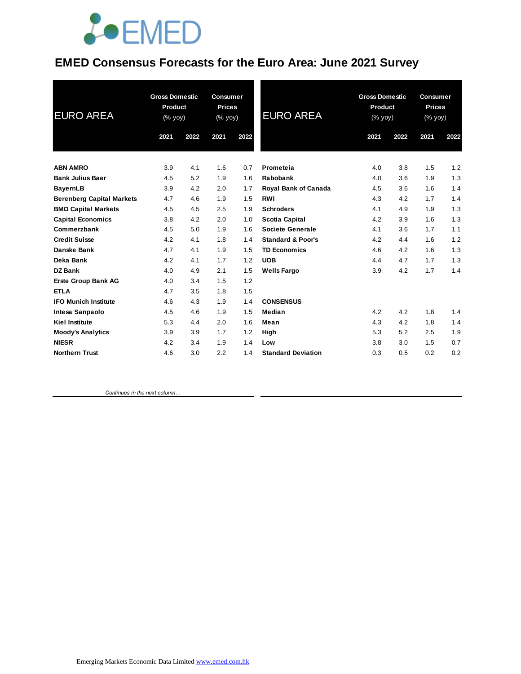

### **EMED Consensus Forecasts for the Euro Area: June 2021 Survey**

| <b>EURO AREA</b>                 | <b>Gross Domestic</b><br>Product<br>(% yoy) |      | <b>Consumer</b><br><b>Prices</b><br>(% yoy) |      | <b>EURO AREA</b>             | <b>Gross Domestic</b><br>Product<br>(% yoy) |      | <b>Consumer</b><br><b>Prices</b><br>(% yoy) |      |
|----------------------------------|---------------------------------------------|------|---------------------------------------------|------|------------------------------|---------------------------------------------|------|---------------------------------------------|------|
|                                  | 2021                                        | 2022 | 2021                                        | 2022 |                              | 2021                                        | 2022 | 2021                                        | 2022 |
| <b>ABN AMRO</b>                  | 3.9                                         | 4.1  | 1.6                                         | 0.7  | Prometeia                    | 4.0                                         | 3.8  | 1.5                                         | 1.2  |
| <b>Bank Julius Baer</b>          | 4.5                                         | 5.2  | 1.9                                         | 1.6  | Rabobank                     | 4.0                                         | 3.6  | 1.9                                         | 1.3  |
| <b>BayernLB</b>                  | 3.9                                         | 4.2  | 2.0                                         | 1.7  | <b>Royal Bank of Canada</b>  | 4.5                                         | 3.6  | 1.6                                         | 1.4  |
| <b>Berenberg Capital Markets</b> | 4.7                                         | 4.6  | 1.9                                         | 1.5  | <b>RWI</b>                   | 4.3                                         | 4.2  | 1.7                                         | 1.4  |
| <b>BMO Capital Markets</b>       | 4.5                                         | 4.5  | 2.5                                         | 1.9  | <b>Schroders</b>             | 4.1                                         | 4.9  | 1.9                                         | 1.3  |
| <b>Capital Economics</b>         | 3.8                                         | 4.2  | 2.0                                         | 1.0  | <b>Scotia Capital</b>        | 4.2                                         | 3.9  | 1.6                                         | 1.3  |
| Commerzbank                      | 4.5                                         | 5.0  | 1.9                                         | 1.6  | Societe Generale             | 4.1                                         | 3.6  | 1.7                                         | 1.1  |
| <b>Credit Suisse</b>             | 4.2                                         | 4.1  | 1.8                                         | 1.4  | <b>Standard &amp; Poor's</b> | 4.2                                         | 4.4  | 1.6                                         | 1.2  |
| Danske Bank                      | 4.7                                         | 4.1  | 1.9                                         | 1.5  | <b>TD Economics</b>          | 4.6                                         | 4.2  | 1.6                                         | 1.3  |
| Deka Bank                        | 4.2                                         | 4.1  | 1.7                                         | 1.2  | <b>UOB</b>                   | 4.4                                         | 4.7  | 1.7                                         | 1.3  |
| <b>DZ</b> Bank                   | 4.0                                         | 4.9  | 2.1                                         | 1.5  | <b>Wells Fargo</b>           | 3.9                                         | 4.2  | 1.7                                         | 1.4  |
| Erste Group Bank AG              | 4.0                                         | 3.4  | 1.5                                         | 1.2  |                              |                                             |      |                                             |      |
| <b>ETLA</b>                      | 4.7                                         | 3.5  | 1.8                                         | 1.5  |                              |                                             |      |                                             |      |
| <b>IFO Munich Institute</b>      | 4.6                                         | 4.3  | 1.9                                         | 1.4  | <b>CONSENSUS</b>             |                                             |      |                                             |      |
| Intesa Sanpaolo                  | 4.5                                         | 4.6  | 1.9                                         | 1.5  | Median                       | 4.2                                         | 4.2  | 1.8                                         | 1.4  |
| <b>Kiel Institute</b>            | 5.3                                         | 4.4  | 2.0                                         | 1.6  | Mean                         | 4.3                                         | 4.2  | 1.8                                         | 1.4  |
| <b>Moody's Analytics</b>         | 3.9                                         | 3.9  | 1.7                                         | 1.2  | High                         | 5.3                                         | 5.2  | 2.5                                         | 1.9  |
| <b>NIESR</b>                     | 4.2                                         | 3.4  | 1.9                                         | 1.4  | Low                          | 3.8                                         | 3.0  | 1.5                                         | 0.7  |
| <b>Northern Trust</b>            | 4.6                                         | 3.0  | 2.2                                         | 1.4  | <b>Standard Deviation</b>    | 0.3                                         | 0.5  | 0.2                                         | 0.2  |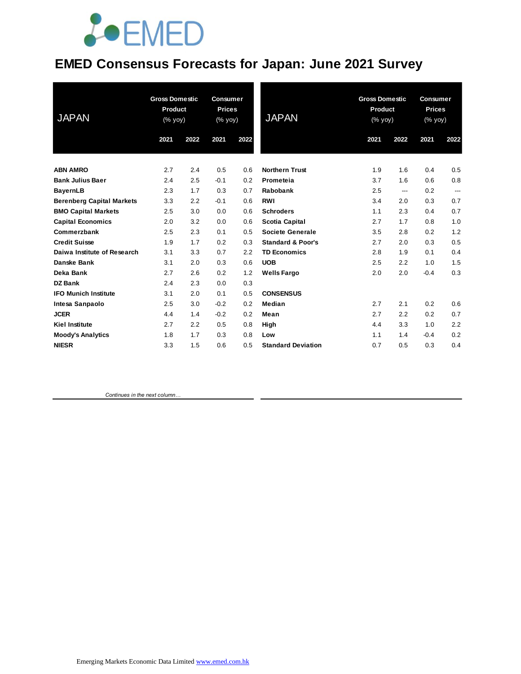# **JOEMED**

### **EMED Consensus Forecasts for Japan: June 2021 Survey**

| <b>JAPAN</b>                     | <b>Gross Domestic</b><br>Product<br>(% yoy) |      | <b>Consumer</b><br><b>Prices</b><br>(% yoy) |      | <b>JAPAN</b>                 | <b>Gross Domestic</b><br>Product<br>(% yoy) |      | <b>Consumer</b><br><b>Prices</b><br>(% yoy) |                          |
|----------------------------------|---------------------------------------------|------|---------------------------------------------|------|------------------------------|---------------------------------------------|------|---------------------------------------------|--------------------------|
|                                  | 2021                                        | 2022 | 2021                                        | 2022 |                              | 2021                                        | 2022 | 2021                                        | 2022                     |
| <b>ABN AMRO</b>                  | 2.7                                         | 2.4  | 0.5                                         | 0.6  | <b>Northern Trust</b>        | 1.9                                         | 1.6  | 0.4                                         | 0.5                      |
| <b>Bank Julius Baer</b>          | 2.4                                         | 2.5  | $-0.1$                                      | 0.2  | Prometeia                    | 3.7                                         | 1.6  | 0.6                                         | 0.8                      |
| <b>BayernLB</b>                  | 2.3                                         | 1.7  | 0.3                                         | 0.7  | Rabobank                     | 2.5                                         | ---  | 0.2                                         | $\overline{\phantom{a}}$ |
| <b>Berenberg Capital Markets</b> | 3.3                                         | 2.2  | $-0.1$                                      | 0.6  | <b>RWI</b>                   | 3.4                                         | 2.0  | 0.3                                         | 0.7                      |
| <b>BMO Capital Markets</b>       | 2.5                                         | 3.0  | 0.0                                         | 0.6  | <b>Schroders</b>             | 1.1                                         | 2.3  | 0.4                                         | 0.7                      |
| <b>Capital Economics</b>         | 2.0                                         | 3.2  | 0.0                                         | 0.6  | <b>Scotia Capital</b>        | 2.7                                         | 1.7  | 0.8                                         | 1.0                      |
| Commerzbank                      | 2.5                                         | 2.3  | 0.1                                         | 0.5  | <b>Societe Generale</b>      | 3.5                                         | 2.8  | 0.2                                         | 1.2                      |
| <b>Credit Suisse</b>             | 1.9                                         | 1.7  | 0.2                                         | 0.3  | <b>Standard &amp; Poor's</b> | 2.7                                         | 2.0  | 0.3                                         | 0.5                      |
| Daiwa Institute of Research      | 3.1                                         | 3.3  | 0.7                                         | 2.2  | <b>TD Economics</b>          | 2.8                                         | 1.9  | 0.1                                         | 0.4                      |
| Danske Bank                      | 3.1                                         | 2.0  | 0.3                                         | 0.6  | <b>UOB</b>                   | 2.5                                         | 2.2  | 1.0                                         | 1.5                      |
| Deka Bank                        | 2.7                                         | 2.6  | 0.2                                         | 1.2  | <b>Wells Fargo</b>           | 2.0                                         | 2.0  | $-0.4$                                      | 0.3                      |
| <b>DZ Bank</b>                   | 2.4                                         | 2.3  | 0.0                                         | 0.3  |                              |                                             |      |                                             |                          |
| <b>IFO Munich Institute</b>      | 3.1                                         | 2.0  | 0.1                                         | 0.5  | <b>CONSENSUS</b>             |                                             |      |                                             |                          |
| Intesa Sanpaolo                  | 2.5                                         | 3.0  | $-0.2$                                      | 0.2  | Median                       | 2.7                                         | 2.1  | 0.2                                         | 0.6                      |
| <b>JCER</b>                      | 4.4                                         | 1.4  | $-0.2$                                      | 0.2  | Mean                         | 2.7                                         | 2.2  | 0.2                                         | 0.7                      |
| <b>Kiel Institute</b>            | 2.7                                         | 2.2  | 0.5                                         | 0.8  | High                         | 4.4                                         | 3.3  | 1.0                                         | 2.2                      |
| <b>Moody's Analytics</b>         | 1.8                                         | 1.7  | 0.3                                         | 0.8  | Low                          | 1.1                                         | 1.4  | $-0.4$                                      | 0.2                      |
| <b>NIESR</b>                     | 3.3                                         | 1.5  | 0.6                                         | 0.5  | <b>Standard Deviation</b>    | 0.7                                         | 0.5  | 0.3                                         | 0.4                      |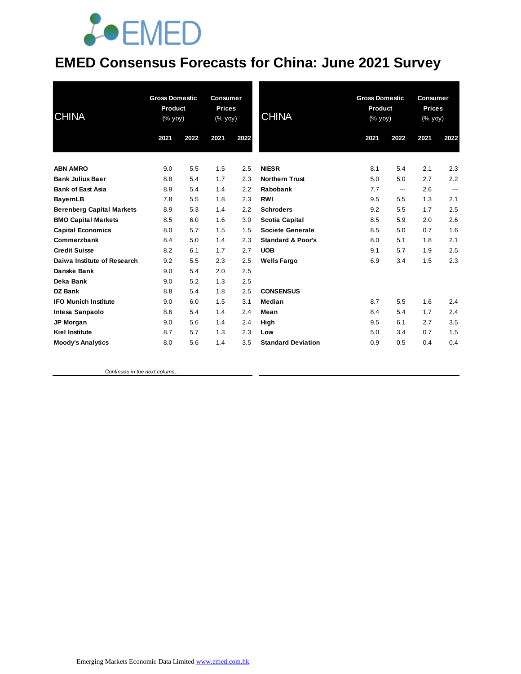# **JOEMED**

### **EMED Consensus Forecasts for China: June 2021 Survey**

| <b>CHINA</b>                     | <b>Gross Domestic</b><br>Product<br>(% yoy) |      | <b>Consumer</b><br><b>Prices</b><br>(% yoy) |      | <b>CHINA</b>                 | <b>Gross Domestic</b><br>Product<br>(% yoy) |      | <b>Consumer</b><br><b>Prices</b><br>(% yoy) |       |
|----------------------------------|---------------------------------------------|------|---------------------------------------------|------|------------------------------|---------------------------------------------|------|---------------------------------------------|-------|
|                                  | 2021                                        | 2022 | 2021                                        | 2022 |                              | 2021                                        | 2022 | 2021                                        | 2022  |
| <b>ABN AMRO</b>                  | 9.0                                         | 5.5  | 1.5                                         | 2.5  | <b>NIESR</b>                 | 8.1                                         | 5.4  | 2.1                                         | 2.3   |
| <b>Bank Julius Baer</b>          | 8.8                                         | 5.4  | 1.7                                         | 2.3  | <b>Northern Trust</b>        | 5.0                                         | 5.0  | 2.7                                         | 2.2   |
| <b>Bank of East Asia</b>         | 8.9                                         | 5.4  | 1.4                                         | 2.2  | Rabobank                     | 7.7                                         | ---  | 2.6                                         | $---$ |
| <b>BayernLB</b>                  | 7.8                                         | 5.5  | 1.8                                         | 2.3  | <b>RWI</b>                   | 9.5                                         | 5.5  | 1.3                                         | 2.1   |
| <b>Berenberg Capital Markets</b> | 8.9                                         | 5.3  | 1.4                                         | 2.2  | <b>Schroders</b>             | 9.2                                         | 5.5  | 1.7                                         | 2.5   |
| <b>BMO Capital Markets</b>       | 8.5                                         | 6.0  | 1.6                                         | 3.0  | <b>Scotia Capital</b>        | 8.5                                         | 5.9  | 2.0                                         | 2.6   |
| <b>Capital Economics</b>         | 8.0                                         | 5.7  | 1.5                                         | 1.5  | Societe Generale             | 8.5                                         | 5.0  | 0.7                                         | 1.6   |
| Commerzbank                      | 8.4                                         | 5.0  | 1.4                                         | 2.3  | <b>Standard &amp; Poor's</b> | 8.0                                         | 5.1  | 1.8                                         | 2.1   |
| <b>Credit Suisse</b>             | 8.2                                         | 6.1  | 1.7                                         | 2.7  | <b>UOB</b>                   | 9.1                                         | 5.7  | 1.9                                         | 2.5   |
| Daiwa Institute of Research      | 9.2                                         | 5.5  | 2.3                                         | 2.5  | <b>Wells Fargo</b>           | 6.9                                         | 3.4  | 1.5                                         | 2.3   |
| Danske Bank                      | 9.0                                         | 5.4  | 2.0                                         | 2.5  |                              |                                             |      |                                             |       |
| Deka Bank                        | 9.0                                         | 5.2  | 1.3                                         | 2.5  |                              |                                             |      |                                             |       |
| <b>DZ Bank</b>                   | 8.8                                         | 5.4  | 1.8                                         | 2.5  | <b>CONSENSUS</b>             |                                             |      |                                             |       |
| <b>IFO Munich Institute</b>      | 9.0                                         | 6.0  | 1.5                                         | 3.1  | Median                       | 8.7                                         | 5.5  | 1.6                                         | 2.4   |
| Intesa Sanpaolo                  | 8.6                                         | 5.4  | 1.4                                         | 2.4  | Mean                         | 8.4                                         | 5.4  | 1.7                                         | 2.4   |
| JP Morgan                        | 9.0                                         | 5.6  | 1.4                                         | 2.4  | High                         | 9.5                                         | 6.1  | 2.7                                         | 3.5   |
| <b>Kiel Institute</b>            | 8.7                                         | 5.7  | 1.3                                         | 2.3  | Low                          | 5.0                                         | 3.4  | 0.7                                         | 1.5   |
| <b>Moody's Analytics</b>         | 8.0                                         | 5.6  | 1.4                                         | 3.5  | <b>Standard Deviation</b>    | 0.9                                         | 0.5  | 0.4                                         | 0.4   |
|                                  |                                             |      |                                             |      |                              |                                             |      |                                             |       |